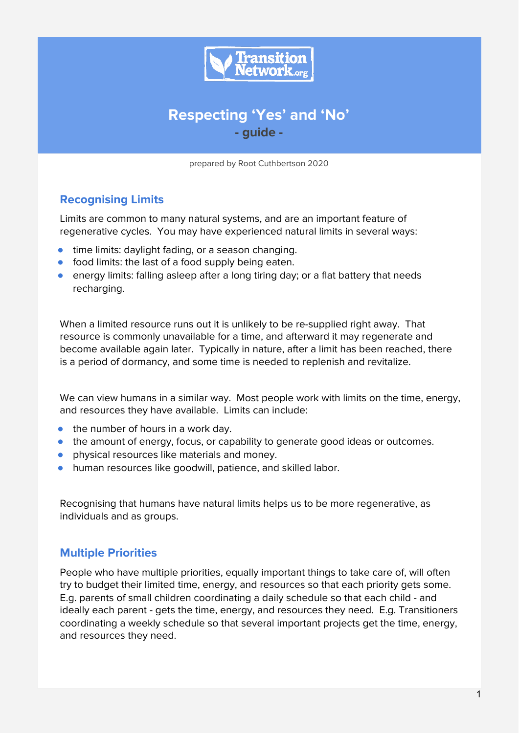

# **Respecting 'Yes' and 'No' - guide -**

prepared by Root Cuthbertson 2020

# **Recognising Limits**

Limits are common to many natural systems, and are an important feature of regenerative cycles. You may have experienced natural limits in several ways:

- time limits: daylight fading, or a season changing.
- food limits: the last of a food supply being eaten.
- energy limits: falling asleep after a long tiring day; or a flat battery that needs recharging.

When a limited resource runs out it is unlikely to be re-supplied right away. That resource is commonly unavailable for a time, and afterward it may regenerate and become available again later. Typically in nature, after a limit has been reached, there is a period of dormancy, and some time is needed to replenish and revitalize.

We can view humans in a similar way. Most people work with limits on the time, energy, and resources they have available. Limits can include:

- the number of hours in a work day.
- the amount of energy, focus, or capability to generate good ideas or outcomes.
- physical resources like materials and money.
- human resources like goodwill, patience, and skilled labor.

Recognising that humans have natural limits helps us to be more regenerative, as individuals and as groups.

### **Multiple Priorities**

People who have multiple priorities, equally important things to take care of, will often try to budget their limited time, energy, and resources so that each priority gets some. E.g. parents of small children coordinating a daily schedule so that each child - and ideally each parent - gets the time, energy, and resources they need. E.g. Transitioners coordinating a weekly schedule so that several important projects get the time, energy, and resources they need.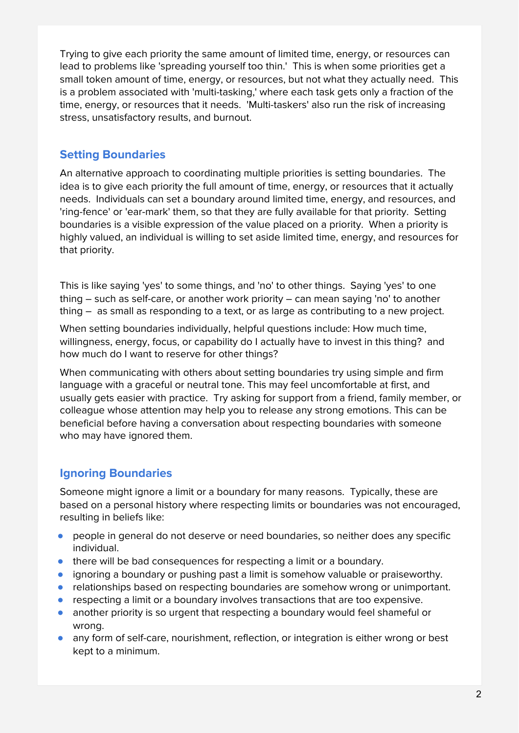Trying to give each priority the same amount of limited time, energy, or resources can lead to problems like 'spreading yourself too thin.' This is when some priorities get a small token amount of time, energy, or resources, but not what they actually need. This is a problem associated with 'multi-tasking,' where each task gets only a fraction of the time, energy, or resources that it needs. 'Multi-taskers' also run the risk of increasing stress, unsatisfactory results, and burnout.

# **Setting Boundaries**

An alternative approach to coordinating multiple priorities is setting boundaries. The idea is to give each priority the full amount of time, energy, or resources that it actually needs. Individuals can set a boundary around limited time, energy, and resources, and 'ring-fence' or 'ear-mark' them, so that they are fully available for that priority. Setting boundaries is a visible expression of the value placed on a priority. When a priority is highly valued, an individual is willing to set aside limited time, energy, and resources for that priority.

This is like saying 'yes' to some things, and 'no' to other things. Saying 'yes' to one thing – such as self-care, or another work priority – can mean saying 'no' to another thing – as small as responding to a text, or as large as contributing to a new project.

When setting boundaries individually, helpful questions include: How much time, willingness, energy, focus, or capability do I actually have to invest in this thing? and how much do I want to reserve for other things?

When communicating with others about setting boundaries try using simple and firm language with a graceful or neutral tone. This may feel uncomfortable at first, and usually gets easier with practice. Try asking for support from a friend, family member, or colleague whose attention may help you to release any strong emotions. This can be beneficial before having a conversation about respecting boundaries with someone who may have ignored them.

# **Ignoring Boundaries**

Someone might ignore a limit or a boundary for many reasons. Typically, these are based on a personal history where respecting limits or boundaries was not encouraged, resulting in beliefs like:

- people in general do not deserve or need boundaries, so neither does any specific individual.
- there will be bad consequences for respecting a limit or a boundary.
- ignoring a boundary or pushing past a limit is somehow valuable or praiseworthy.
- relationships based on respecting boundaries are somehow wrong or unimportant.
- respecting a limit or a boundary involves transactions that are too expensive.
- another priority is so urgent that respecting a boundary would feel shameful or wrong.
- any form of self-care, nourishment, reflection, or integration is either wrong or best kept to a minimum.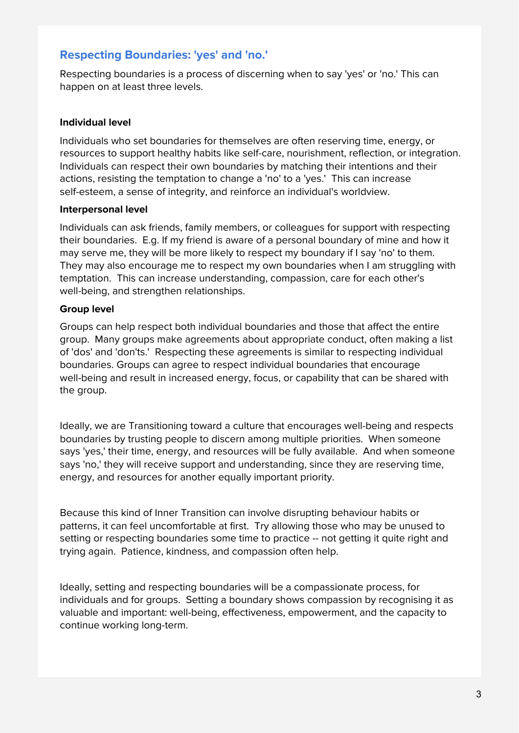### **Respecting Boundaries: 'yes' and 'no.'**

Respecting boundaries is a process of discerning when to say 'yes' or 'no.' This can happen on at least three levels.

#### **Individual level**

Individuals who set boundaries for themselves are often reserving time, energy, or resources to support healthy habits like self-care, nourishment, reflection, or integration. Individuals can respect their own boundaries by matching their intentions and their actions, resisting the temptation to change a 'no' to a 'yes.' This can increase self-esteem, a sense of integrity, and reinforce an individual's worldview.

#### **Interpersonal level**

Individuals can ask friends, family members, or colleagues for support with respecting their boundaries. E.g. If my friend is aware of a personal boundary of mine and how it may serve me, they will be more likely to respect my boundary if I say 'no' to them. They may also encourage me to respect my own boundaries when I am struggling with temptation. This can increase understanding, compassion, care for each other's well-being, and strengthen relationships.

#### **Group level**

Groups can help respect both individual boundaries and those that affect the entire group. Many groups make agreements about appropriate conduct, often making a list of 'dos' and 'don'ts.' Respecting these agreements is similar to respecting individual boundaries. Groups can agree to respect individual boundaries that encourage well-being and result in increased energy, focus, or capability that can be shared with the group.

Ideally, we are Transitioning toward a culture that encourages well-being and respects boundaries by trusting people to discern among multiple priorities. When someone says 'yes,' their time, energy, and resources will be fully available. And when someone says 'no,' they will receive support and understanding, since they are reserving time, energy, and resources for another equally important priority.

Because this kind of Inner Transition can involve disrupting behaviour habits or patterns, it can feel uncomfortable at first. Try allowing those who may be unused to setting or respecting boundaries some time to practice -- not getting it quite right and trying again. Patience, kindness, and compassion often help.

Ideally, setting and respecting boundaries will be a compassionate process, for individuals and for groups. Setting a boundary shows compassion by recognising it as valuable and important: well-being, effectiveness, empowerment, and the capacity to continue working long-term.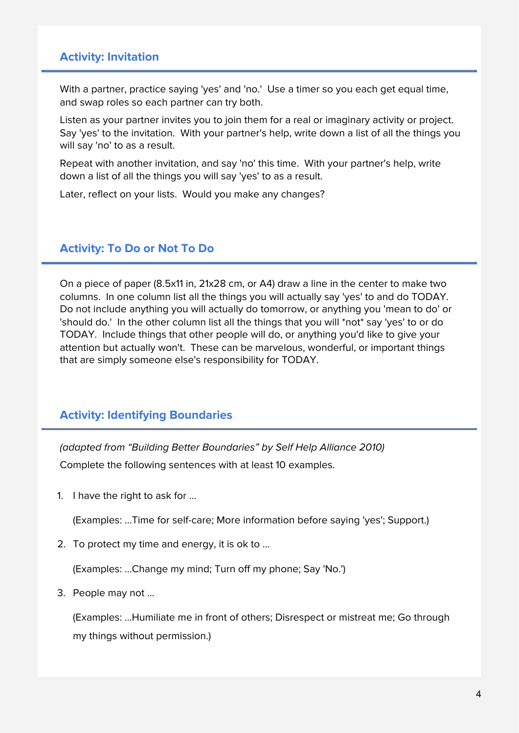### **Activity: Invitation**

With a partner, practice saying 'yes' and 'no.' Use a timer so you each get equal time, and swap roles so each partner can try both.

Listen as your partner invites you to join them for a real or imaginary activity or project. Say 'yes' to the invitation. With your partner's help, write down a list of all the things you will say 'no' to as a result.

Repeat with another invitation, and say 'no' this time. With your partner's help, write down a list of all the things you will say 'yes' to as a result.

Later, reflect on your lists. Would you make any changes?

### **Activity: To Do or Not To Do**

On a piece of paper (8.5x11 in, 21x28 cm, or A4) draw a line in the center to make two columns. In one column list all the things you will actually say 'yes' to and do TODAY. Do not include anything you will actually do tomorrow, or anything you 'mean to do' or 'should do.' In the other column list all the things that you will \*not\* say 'yes' to or do TODAY. Include things that other people will do, or anything you'd like to give your attention but actually won't. These can be marvelous, wonderful, or important things that are simply someone else's responsibility for TODAY.

### **Activity: Identifying Boundaries**

(adapted from "Building Better Boundaries" by Self Help Alliance 2010)

Complete the following sentences with at least 10 examples.

1. I have the right to ask for ...

(Examples: ...Time for self-care; More information before saying 'yes'; Support.)

2. To protect my time and energy, it is ok to ...

(Examples: ...Change my mind; Turn off my phone; Say 'No.')

3. People may not ...

(Examples: ...Humiliate me in front of others; Disrespect or mistreat me; Go through my things without permission.)